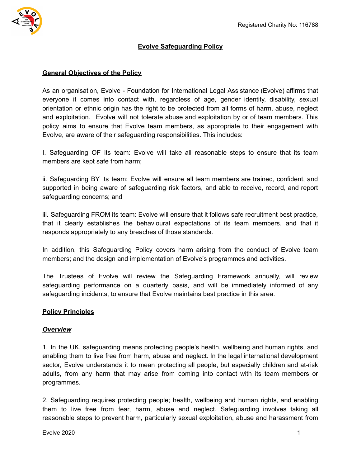### **Evolve Safeguarding Policy**

#### **General Objectives of the Policy**

As an organisation, Evolve - Foundation for International Legal Assistance (Evolve) affirms that everyone it comes into contact with, regardless of age, gender identity, disability, sexual orientation or ethnic origin has the right to be protected from all forms of harm, abuse, neglect and exploitation. Evolve will not tolerate abuse and exploitation by or of team members. This policy aims to ensure that Evolve team members, as appropriate to their engagement with Evolve, are aware of their safeguarding responsibilities. This includes:

I. Safeguarding OF its team: Evolve will take all reasonable steps to ensure that its team members are kept safe from harm;

ii. Safeguarding BY its team: Evolve will ensure all team members are trained, confident, and supported in being aware of safeguarding risk factors, and able to receive, record, and report safeguarding concerns; and

iii. Safeguarding FROM its team: Evolve will ensure that it follows safe recruitment best practice, that it clearly establishes the behavioural expectations of its team members, and that it responds appropriately to any breaches of those standards.

In addition, this Safeguarding Policy covers harm arising from the conduct of Evolve team members; and the design and implementation of Evolve's programmes and activities.

The Trustees of Evolve will review the Safeguarding Framework annually, will review safeguarding performance on a quarterly basis, and will be immediately informed of any safeguarding incidents, to ensure that Evolve maintains best practice in this area.

#### **Policy Principles**

#### *Overview*

1. In the UK, safeguarding means protecting people's health, wellbeing and human rights, and enabling them to live free from harm, abuse and neglect. In the legal international development sector, Evolve understands it to mean protecting all people, but especially children and at-risk adults, from any harm that may arise from coming into contact with its team members or programmes.

2. Safeguarding requires protecting people; health, wellbeing and human rights, and enabling them to live free from fear, harm, abuse and neglect. Safeguarding involves taking all reasonable steps to prevent harm, particularly sexual exploitation, abuse and harassment from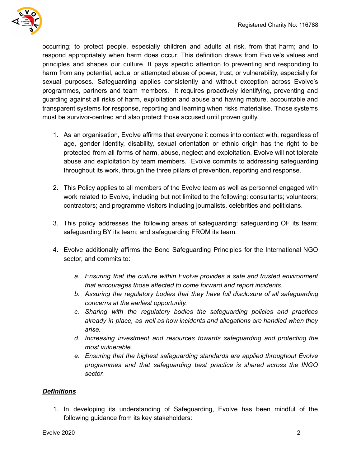

occurring; to protect people, especially children and adults at risk, from that harm; and to respond appropriately when harm does occur. This definition draws from Evolve's values and principles and shapes our culture. It pays specific attention to preventing and responding to harm from any potential, actual or attempted abuse of power, trust, or vulnerability, especially for sexual purposes. Safeguarding applies consistently and without exception across Evolve's programmes, partners and team members. It requires proactively identifying, preventing and guarding against all risks of harm, exploitation and abuse and having mature, accountable and transparent systems for response, reporting and learning when risks materialise. Those systems must be survivor-centred and also protect those accused until proven guilty.

- 1. As an organisation, Evolve affirms that everyone it comes into contact with, regardless of age, gender identity, disability, sexual orientation or ethnic origin has the right to be protected from all forms of harm, abuse, neglect and exploitation. Evolve will not tolerate abuse and exploitation by team members. Evolve commits to addressing safeguarding throughout its work, through the three pillars of prevention, reporting and response.
- 2. This Policy applies to all members of the Evolve team as well as personnel engaged with work related to Evolve, including but not limited to the following: consultants; volunteers; contractors; and programme visitors including journalists, celebrities and politicians.
- 3. This policy addresses the following areas of safeguarding: safeguarding OF its team; safeguarding BY its team; and safeguarding FROM its team.
- 4. Evolve additionally affirms the Bond Safeguarding Principles for the International NGO sector, and commits to:
	- *a. Ensuring that the culture within Evolve provides a safe and trusted environment that encourages those affected to come forward and report incidents.*
	- *b. Assuring the regulatory bodies that they have full disclosure of all safeguarding concerns at the earliest opportunity.*
	- *c. Sharing with the regulatory bodies the safeguarding policies and practices already in place, as well as how incidents and allegations are handled when they arise.*
	- *d. Increasing investment and resources towards safeguarding and protecting the most vulnerable.*
	- *e. Ensuring that the highest safeguarding standards are applied throughout Evolve programmes and that safeguarding best practice is shared across the INGO sector.*

## *Definitions*

1. In developing its understanding of Safeguarding, Evolve has been mindful of the following guidance from its key stakeholders: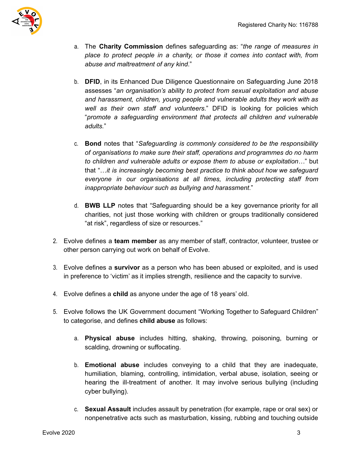

- a. The **Charity Commission** defines safeguarding as: "*the range of measures in place to protect people in a charity, or those it comes into contact with, from abuse and maltreatment of any kind*."
- b. **DFID**, in its Enhanced Due Diligence Questionnaire on Safeguarding June 2018 assesses "*an organisation's ability to protect from sexual exploitation and abuse and harassment, children, young people and vulnerable adults they work with as well as their own staff and volunteers*." DFID is looking for policies which "*promote a safeguarding environment that protects all children and vulnerable adults.*"
- c. **Bond** notes that "*Safeguarding is commonly considered to be the responsibility of organisations to make sure their staff, operations and programmes do no harm to children and vulnerable adults or expose them to abuse or exploitation…*" but that "…*it is increasingly becoming best practice to think about how we safeguard everyone in our organisations at all times, including protecting staff from inappropriate behaviour such as bullying and harassment*."
- d. **BWB LLP** notes that "Safeguarding should be a key governance priority for all charities, not just those working with children or groups traditionally considered "at risk", regardless of size or resources."
- 2. Evolve defines a **team member** as any member of staff, contractor, volunteer, trustee or other person carrying out work on behalf of Evolve.
- 3. Evolve defines a **survivor** as a person who has been abused or exploited, and is used in preference to 'victim' as it implies strength, resilience and the capacity to survive.
- 4. Evolve defines a **child** as anyone under the age of 18 years' old.
- 5. Evolve follows the UK Government document "Working Together to Safeguard Children" to categorise, and defines **child abuse** as follows:
	- a. **Physical abuse** includes hitting, shaking, throwing, poisoning, burning or scalding, drowning or suffocating.
	- b. **Emotional abuse** includes conveying to a child that they are inadequate, humiliation, blaming, controlling, intimidation, verbal abuse, isolation, seeing or hearing the ill-treatment of another. It may involve serious bullying (including cyber bullying).
	- c. **Sexual Assault** includes assault by penetration (for example, rape or oral sex) or nonpenetrative acts such as masturbation, kissing, rubbing and touching outside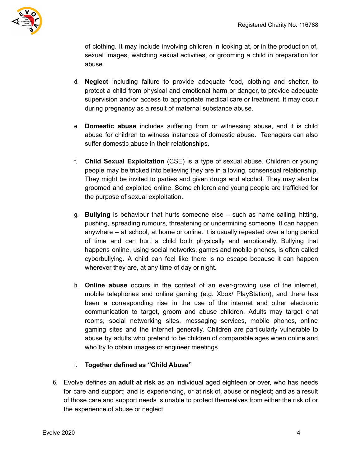

of clothing. It may include involving children in looking at, or in the production of, sexual images, watching sexual activities, or grooming a child in preparation for abuse.

- d. **Neglect** including failure to provide adequate food, clothing and shelter, to protect a child from physical and emotional harm or danger, to provide adequate supervision and/or access to appropriate medical care or treatment. It may occur during pregnancy as a result of maternal substance abuse.
- e. **Domestic abuse** includes suffering from or witnessing abuse, and it is child abuse for children to witness instances of domestic abuse. Teenagers can also suffer domestic abuse in their relationships.
- f. **Child Sexual Exploitation** (CSE) is a type of sexual abuse. Children or young people may be tricked into believing they are in a loving, consensual relationship. They might be invited to parties and given drugs and alcohol. They may also be groomed and exploited online. Some children and young people are trafficked for the purpose of sexual exploitation.
- g. **Bullying** is behaviour that hurts someone else such as name calling, hitting, pushing, spreading rumours, threatening or undermining someone. It can happen anywhere – at school, at home or online. It is usually repeated over a long period of time and can hurt a child both physically and emotionally. Bullying that happens online, using social networks, games and mobile phones, is often called cyberbullying. A child can feel like there is no escape because it can happen wherever they are, at any time of day or night.
- h. **Online abuse** occurs in the context of an ever-growing use of the internet, mobile telephones and online gaming (e.g. Xbox/ PlayStation), and there has been a corresponding rise in the use of the internet and other electronic communication to target, groom and abuse children. Adults may target chat rooms, social networking sites, messaging services, mobile phones, online gaming sites and the internet generally. Children are particularly vulnerable to abuse by adults who pretend to be children of comparable ages when online and who try to obtain images or engineer meetings.
- i. **Together defined as "Child Abuse"**
- 6. Evolve defines an **adult at risk** as an individual aged eighteen or over, who has needs for care and support; and is experiencing, or at risk of, abuse or neglect; and as a result of those care and support needs is unable to protect themselves from either the risk of or the experience of abuse or neglect.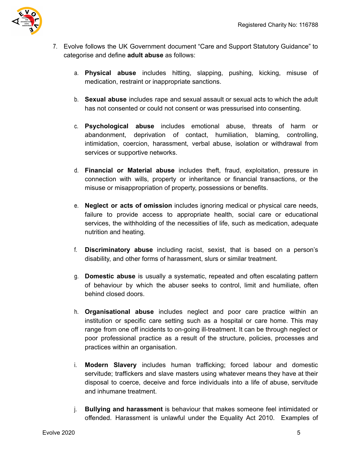

- 7. Evolve follows the UK Government document "Care and Support Statutory Guidance" to categorise and define **adult abuse** as follows:
	- a. **Physical abuse** includes hitting, slapping, pushing, kicking, misuse of medication, restraint or inappropriate sanctions.
	- b. **Sexual abuse** includes rape and sexual assault or sexual acts to which the adult has not consented or could not consent or was pressurised into consenting.
	- c. **Psychological abuse** includes emotional abuse, threats of harm or abandonment, deprivation of contact, humiliation, blaming, controlling, intimidation, coercion, harassment, verbal abuse, isolation or withdrawal from services or supportive networks.
	- d. **Financial or Material abuse** includes theft, fraud, exploitation, pressure in connection with wills, property or inheritance or financial transactions, or the misuse or misappropriation of property, possessions or benefits.
	- e. **Neglect or acts of omission** includes ignoring medical or physical care needs, failure to provide access to appropriate health, social care or educational services, the withholding of the necessities of life, such as medication, adequate nutrition and heating.
	- f. **Discriminatory abuse** including racist, sexist, that is based on a person's disability, and other forms of harassment, slurs or similar treatment.
	- g. **Domestic abuse** is usually a systematic, repeated and often escalating pattern of behaviour by which the abuser seeks to control, limit and humiliate, often behind closed doors.
	- h. **Organisational abuse** includes neglect and poor care practice within an institution or specific care setting such as a hospital or care home. This may range from one off incidents to on-going ill-treatment. It can be through neglect or poor professional practice as a result of the structure, policies, processes and practices within an organisation.
	- i. **Modern Slavery** includes human trafficking; forced labour and domestic servitude; traffickers and slave masters using whatever means they have at their disposal to coerce, deceive and force individuals into a life of abuse, servitude and inhumane treatment.
	- j. **Bullying and harassment** is behaviour that makes someone feel intimidated or offended. Harassment is unlawful under the Equality Act 2010. Examples of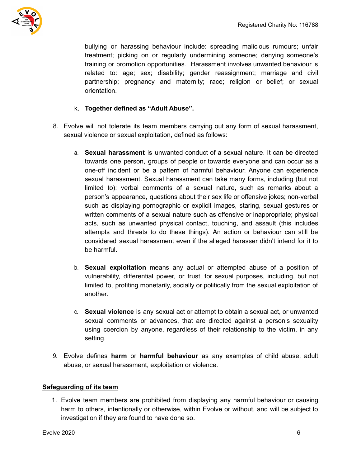

bullying or harassing behaviour include: spreading malicious rumours; unfair treatment; picking on or regularly undermining someone; denying someone's training or promotion opportunities. Harassment involves unwanted behaviour is related to: age; sex; disability; gender reassignment; marriage and civil partnership; pregnancy and maternity; race; religion or belief; or sexual orientation.

# k. **Together defined as "Adult Abuse".**

- 8. Evolve will not tolerate its team members carrying out any form of sexual harassment, sexual violence or sexual exploitation, defined as follows:
	- a. **Sexual harassment** is unwanted conduct of a sexual nature. It can be directed towards one person, groups of people or towards everyone and can occur as a one-off incident or be a pattern of harmful behaviour. Anyone can experience sexual harassment. Sexual harassment can take many forms, including (but not limited to): verbal comments of a sexual nature, such as remarks about a person's appearance, questions about their sex life or offensive jokes; non-verbal such as displaying pornographic or explicit images, staring, sexual gestures or written comments of a sexual nature such as offensive or inappropriate; physical acts, such as unwanted physical contact, touching, and assault (this includes attempts and threats to do these things). An action or behaviour can still be considered sexual harassment even if the alleged harasser didn't intend for it to be harmful.
	- b. **Sexual exploitation** means any actual or attempted abuse of a position of vulnerability, differential power, or trust, for sexual purposes, including, but not limited to, profiting monetarily, socially or politically from the sexual exploitation of another.
	- c. **Sexual violence** is any sexual act or attempt to obtain a sexual act, or unwanted sexual comments or advances, that are directed against a person's sexuality using coercion by anyone, regardless of their relationship to the victim, in any setting.
- 9. Evolve defines **harm** or **harmful behaviour** as any examples of child abuse, adult abuse, or sexual harassment, exploitation or violence.

### **Safeguarding of its team**

1. Evolve team members are prohibited from displaying any harmful behaviour or causing harm to others, intentionally or otherwise, within Evolve or without, and will be subject to investigation if they are found to have done so.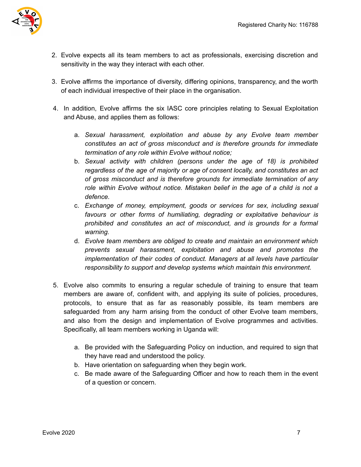

- 2. Evolve expects all its team members to act as professionals, exercising discretion and sensitivity in the way they interact with each other.
- 3. Evolve affirms the importance of diversity, differing opinions, transparency, and the worth of each individual irrespective of their place in the organisation.
- 4. In addition, Evolve affirms the six IASC core principles relating to Sexual Exploitation and Abuse, and applies them as follows:
	- a. *Sexual harassment, exploitation and abuse by any Evolve team member constitutes an act of gross misconduct and is therefore grounds for immediate termination of any role within Evolve without notice;*
	- b. *Sexual activity with children (persons under the age of 18) is prohibited regardless of the age of majority or age of consent locally, and constitutes an act of gross misconduct and is therefore grounds for immediate termination of any role within Evolve without notice. Mistaken belief in the age of a child is not a defence.*
	- c. *Exchange of money, employment, goods or services for sex, including sexual favours or other forms of humiliating, degrading or exploitative behaviour is prohibited and constitutes an act of misconduct, and is grounds for a formal warning.*
	- d. *Evolve team members are obliged to create and maintain an environment which prevents sexual harassment, exploitation and abuse and promotes the implementation of their codes of conduct. Managers at all levels have particular responsibility to support and develop systems which maintain this environment.*
- 5. Evolve also commits to ensuring a regular schedule of training to ensure that team members are aware of, confident with, and applying its suite of policies, procedures, protocols, to ensure that as far as reasonably possible, its team members are safeguarded from any harm arising from the conduct of other Evolve team members, and also from the design and implementation of Evolve programmes and activities. Specifically, all team members working in Uganda will:
	- a. Be provided with the Safeguarding Policy on induction, and required to sign that they have read and understood the policy.
	- b. Have orientation on safeguarding when they begin work.
	- c. Be made aware of the Safeguarding Officer and how to reach them in the event of a question or concern.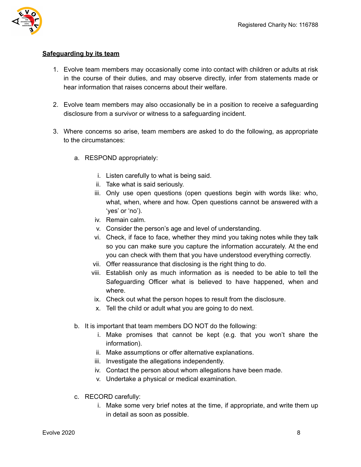

## **Safeguarding by its team**

- 1. Evolve team members may occasionally come into contact with children or adults at risk in the course of their duties, and may observe directly, infer from statements made or hear information that raises concerns about their welfare.
- 2. Evolve team members may also occasionally be in a position to receive a safeguarding disclosure from a survivor or witness to a safeguarding incident.
- 3. Where concerns so arise, team members are asked to do the following, as appropriate to the circumstances:
	- a. RESPOND appropriately:
		- i. Listen carefully to what is being said.
		- ii. Take what is said seriously.
		- iii. Only use open questions (open questions begin with words like: who, what, when, where and how. Open questions cannot be answered with a 'yes' or 'no').
		- iv. Remain calm.
		- v. Consider the person's age and level of understanding.
		- vi. Check, if face to face, whether they mind you taking notes while they talk so you can make sure you capture the information accurately. At the end you can check with them that you have understood everything correctly.
		- vii. Offer reassurance that disclosing is the right thing to do.
		- viii. Establish only as much information as is needed to be able to tell the Safeguarding Officer what is believed to have happened, when and where.
		- ix. Check out what the person hopes to result from the disclosure.
		- x. Tell the child or adult what you are going to do next.
	- b. It is important that team members DO NOT do the following:
		- i. Make promises that cannot be kept (e.g. that you won't share the information).
		- ii. Make assumptions or offer alternative explanations.
		- iii. Investigate the allegations independently.
		- iv. Contact the person about whom allegations have been made.
		- v. Undertake a physical or medical examination.
	- c. RECORD carefully:
		- i. Make some very brief notes at the time, if appropriate, and write them up in detail as soon as possible.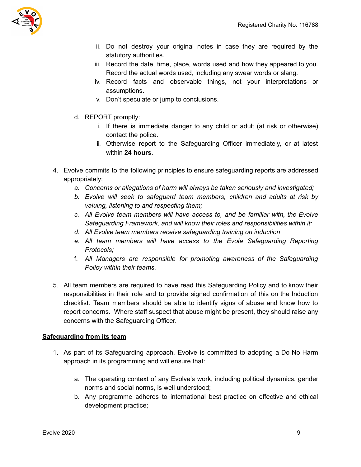

- ii. Do not destroy your original notes in case they are required by the statutory authorities.
- iii. Record the date, time, place, words used and how they appeared to you. Record the actual words used, including any swear words or slang.
- iv. Record facts and observable things, not your interpretations or assumptions.
- v. Don't speculate or jump to conclusions.
- d. REPORT promptly:
	- i. If there is immediate danger to any child or adult (at risk or otherwise) contact the police.
	- ii. Otherwise report to the Safeguarding Officer immediately, or at latest within **24 hours**.
- 4. Evolve commits to the following principles to ensure safeguarding reports are addressed appropriately:
	- *a. Concerns or allegations of harm will always be taken seriously and investigated;*
	- *b. Evolve will seek to safeguard team members, children and adults at risk by valuing, listening to and respecting them;*
	- *c. All Evolve team members will have access to, and be familiar with, the Evolve Safeguarding Framework, and will know their roles and responsibilities within it;*
	- *d. All Evolve team members receive safeguarding training on induction*
	- *e. All team members will have access to the Evole Safeguarding Reporting Protocols;*
	- f. *All Managers are responsible for promoting awareness of the Safeguarding Policy within their teams.*
- 5. All team members are required to have read this Safeguarding Policy and to know their responsibilities in their role and to provide signed confirmation of this on the Induction checklist. Team members should be able to identify signs of abuse and know how to report concerns. Where staff suspect that abuse might be present, they should raise any concerns with the Safeguarding Officer.

### **Safeguarding from its team**

- 1. As part of its Safeguarding approach, Evolve is committed to adopting a Do No Harm approach in its programming and will ensure that:
	- a. The operating context of any Evolve's work, including political dynamics, gender norms and social norms, is well understood;
	- b. Any programme adheres to international best practice on effective and ethical development practice;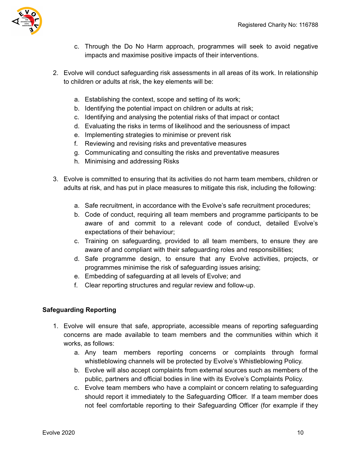

- c. Through the Do No Harm approach, programmes will seek to avoid negative impacts and maximise positive impacts of their interventions.
- 2. Evolve will conduct safeguarding risk assessments in all areas of its work. In relationship to children or adults at risk, the key elements will be:
	- a. Establishing the context, scope and setting of its work;
	- b. Identifying the potential impact on children or adults at risk;
	- c. Identifying and analysing the potential risks of that impact or contact
	- d. Evaluating the risks in terms of likelihood and the seriousness of impact
	- e. Implementing strategies to minimise or prevent risk
	- f. Reviewing and revising risks and preventative measures
	- g. Communicating and consulting the risks and preventative measures
	- h. Minimising and addressing Risks
- 3. Evolve is committed to ensuring that its activities do not harm team members, children or adults at risk, and has put in place measures to mitigate this risk, including the following:
	- a. Safe recruitment, in accordance with the Evolve's safe recruitment procedures;
	- b. Code of conduct, requiring all team members and programme participants to be aware of and commit to a relevant code of conduct, detailed Evolve's expectations of their behaviour;
	- c. Training on safeguarding, provided to all team members, to ensure they are aware of and compliant with their safeguarding roles and responsibilities;
	- d. Safe programme design, to ensure that any Evolve activities, projects, or programmes minimise the risk of safeguarding issues arising;
	- e. Embedding of safeguarding at all levels of Evolve; and
	- f. Clear reporting structures and regular review and follow-up.

## **Safeguarding Reporting**

- 1. Evolve will ensure that safe, appropriate, accessible means of reporting safeguarding concerns are made available to team members and the communities within which it works, as follows:
	- a. Any team members reporting concerns or complaints through formal whistleblowing channels will be protected by Evolve's Whistleblowing Policy.
	- b. Evolve will also accept complaints from external sources such as members of the public, partners and official bodies in line with its Evolve's Complaints Policy.
	- c. Evolve team members who have a complaint or concern relating to safeguarding should report it immediately to the Safeguarding Officer. If a team member does not feel comfortable reporting to their Safeguarding Officer (for example if they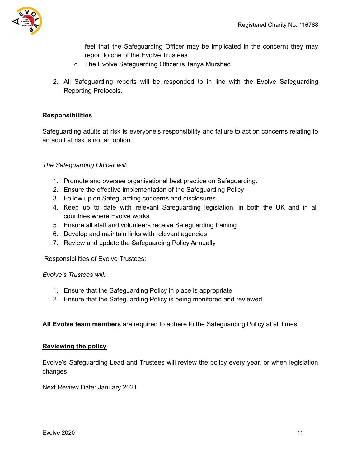

feel that the Safeguarding Officer may be implicated in the concern) they may report to one of the Evolve Trustees.

- d. The Evolve Safeguarding Officer is Tanya Murshed
- 2. All Safeguarding reports will be responded to in line with the Evolve Safeguarding Reporting Protocols.

### **Responsibilities**

Safeguarding adults at risk is everyone's responsibility and failure to act on concerns relating to an adult at risk is not an option.

*The Safeguarding Officer will:*

- 1. Promote and oversee organisational best practice on Safeguarding.
- 2. Ensure the effective implementation of the Safeguarding Policy
- 3. Follow up on Safeguarding concerns and disclosures
- 4. Keep up to date with relevant Safeguarding legislation, in both the UK and in all countries where Evolve works
- 5. Ensure all staff and volunteers receive Safeguarding training
- 6. Develop and maintain links with relevant agencies
- 7. Review and update the Safeguarding Policy Annually

Responsibilities of Evolve Trustees:

#### *Evolve's Trustees will:*

- 1. Ensure that the Safeguarding Policy in place is appropriate
- 2. Ensure that the Safeguarding Policy is being monitored and reviewed

**All Evolve team members** are required to adhere to the Safeguarding Policy at all times.

#### **Reviewing the policy**

Evolve's Safeguarding Lead and Trustees will review the policy every year, or when legislation changes.

Next Review Date: January 2021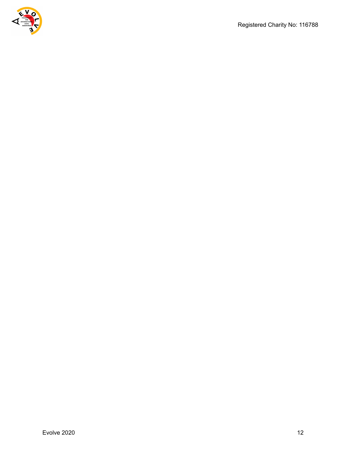